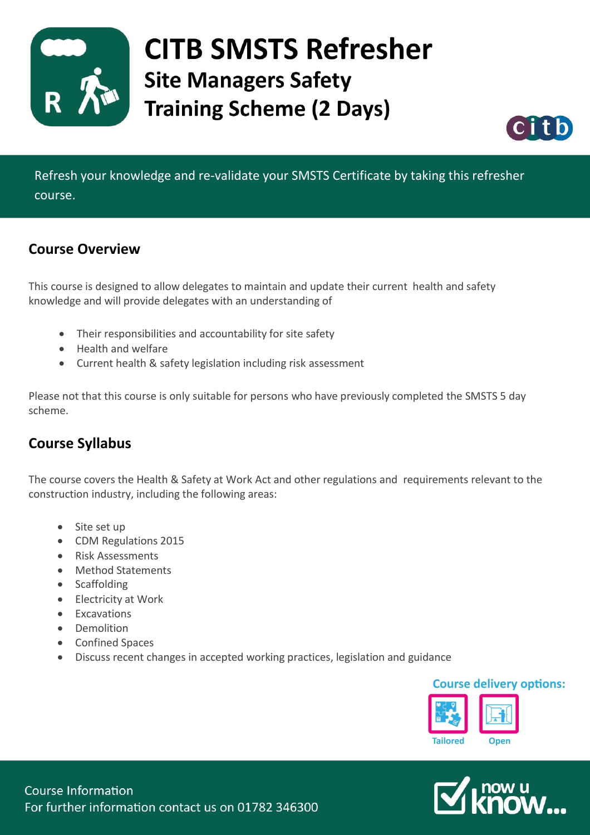

## **CITB SMSTS Refresher Site Managers Safety Training Scheme (2 Days)**



Refresh your knowledge and re-validate your SMSTS Certificate by taking this refresher course.

#### **Course Overview**

This course is designed to allow delegates to maintain and update their current health and safety knowledge and will provide delegates with an understanding of

- Their responsibilities and accountability for site safety
- Health and welfare
- Current health & safety legislation including risk assessment

Please not that this course is only suitable for persons who have previously completed the SMSTS 5 day scheme.

### **Course Syllabus**

The course covers the Health & Safety at Work Act and other regulations and requirements relevant to the construction industry, including the following areas:

- Site set up
- CDM Regulations 2015
- Risk Assessments
- Method Statements
- Scaffolding
- Electricity at Work
- Excavations
- Demolition
- Confined Spaces
- Discuss recent changes in accepted working practices, legislation and guidance